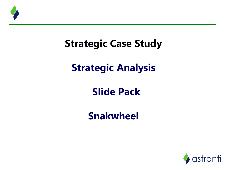

# **Strategic Case Study**

# **Strategic Analysis**

# **Slide Pack**

## **Snakwheel**

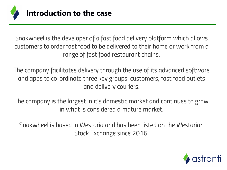

Snakwheel is the developer of a fast food delivery platform which allows customers to order fast food to be delivered to their home or work from a range of fast food restaurant chains.

The company facilitates delivery through the use of its advanced software and apps to co-ordinate three key groups: customers, fast food outlets and delivery couriers.

The company is the largest in it's domestic market and continues to grow in what is considered a mature market.

Snakwheel is based in Westaria and has been listed on the Westarian Stock Exchange since 2016.

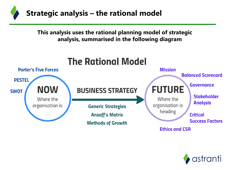

**This analysis uses the rational planning model of strategic analysis, summarised in the following diagram**



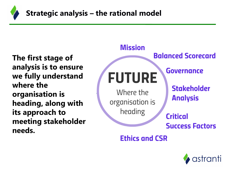

**The first stage of analysis is to ensure we fully understand where the organisation is heading, along with its approach to meeting stakeholder needs.**



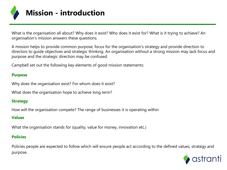

What is the organisation all about? Why does it exist? Who does it exist for? What is it trying to achieve? An organisation's mission answers these questions.

A mission helps to provide common purpose, focus for the organisation's strategy and provide direction to directors to guide objectives and strategic thinking. An organisation without a strong mission may lack focus and purpose and the strategic direction may be confused.

Campbell set out the following key elements of good mission statements:

#### **Purpose**

Why does the organisation exist? For whom does it exist?

What does the organisation hope to achieve long term?

#### **Strategy**

How will the organisation compete? The range of businesses it is operating within

#### **Values**

What the organisation stands for (quality, value for money, innovation etc.)

#### **Policies**

Policies people are expected to follow which will ensure people act according to the defined values, strategy and purpose.

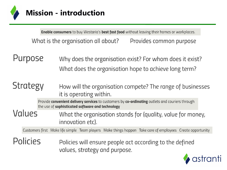

Enable consumers to buy Westaria's best fast food without leaving their homes or workplaces. What is the organisation all about? Provides common purpose

Purpose Why does the organisation exist? For whom does it exist? What does the organisation hope to achieve long term?

#### **Strategy** How will the organisation compete? The range of businesses it is operating within.

Provide convenient delivery services to customers by co-ordinating outlets and couriers through the use of sophisticated software and technology

Values What the organisation stands for (quality, value for money, innovation etc).

Customers first Make life simple Team players Make things happen Take care of employees Create opportunity

**Policies** Policies will ensure people act according to the defined values, strategy and purpose.

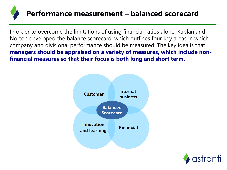

In order to overcome the limitations of using financial ratios alone, Kaplan and Norton developed the balance scorecard, which outlines four key areas in which company and divisional performance should be measured. The key idea is that **managers should be appraised on a variety of measures, which include nonfinancial measures so that their focus is both long and short term.**